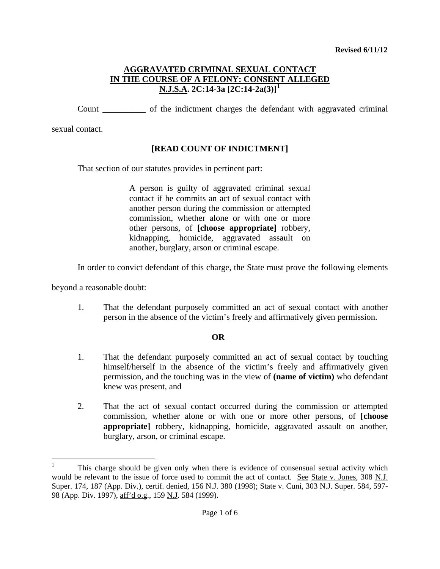Count \_\_\_\_\_\_\_\_\_\_ of the indictment charges the defendant with aggravated criminal

sexual contact.

# **[READ COUNT OF INDICTMENT]**

That section of our statutes provides in pertinent part:

A person is guilty of aggravated criminal sexual contact if he commits an act of sexual contact with another person during the commission or attempted commission, whether alone or with one or more other persons, of **[choose appropriate]** robbery, kidnapping, homicide, aggravated assault on another, burglary, arson or criminal escape.

In order to convict defendant of this charge, the State must prove the following elements

beyond a reasonable doubt:

i

1. That the defendant purposely committed an act of sexual contact with another person in the absence of the victim's freely and affirmatively given permission.

## **OR**

- 1. That the defendant purposely committed an act of sexual contact by touching himself/herself in the absence of the victim's freely and affirmatively given permission, and the touching was in the view of **(name of victim)** who defendant knew was present, and
- 2. That the act of sexual contact occurred during the commission or attempted commission, whether alone or with one or more other persons, of **[choose appropriate]** robbery, kidnapping, homicide, aggravated assault on another, burglary, arson, or criminal escape.

<span id="page-0-1"></span><span id="page-0-0"></span><sup>1</sup> This charge should be given only when there is evidence of consensual sexual activity which would be relevant to the issue of force used to commit the act of contact. See State v. Jones, 308 N.J. Super. 174, 187 (App. Div.), certif. denied, 156 N.J. 380 (1998); State v. Cuni, 303 N.J. Super. 584, 597-98 (App. Div. 1997), aff'd o.g., 159 N.J. 584 (1999).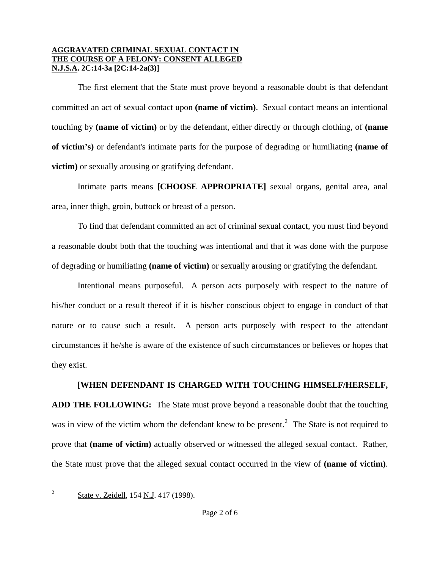The first element that the State must prove beyond a reasonable doubt is that defendant committed an act of sexual contact upon **(name of victim)**. Sexual contact means an intentional touching by **(name of victim)** or by the defendant, either directly or through clothing, of **(name of victim's)** or defendant's intimate parts for the purpose of degrading or humiliating **(name of victim)** or sexually arousing or gratifying defendant.

Intimate parts means **[CHOOSE APPROPRIATE]** sexual organs, genital area, anal area, inner thigh, groin, buttock or breast of a person.

To find that defendant committed an act of criminal sexual contact, you must find beyond a reasonable doubt both that the touching was intentional and that it was done with the purpose of degrading or humiliating **(name of victim)** or sexually arousing or gratifying the defendant.

Intentional means purposeful. A person acts purposely with respect to the nature of his/her conduct or a result thereof if it is his/her conscious object to engage in conduct of that nature or to cause such a result. A person acts purposely with respect to the attendant circumstances if he/she is aware of the existence of such circumstances or believes or hopes that they exist.

# **[WHEN DEFENDANT IS CHARGED WITH TOUCHING HIMSELF/HERSELF,**

**ADD THE FOLLOWING:** The State must prove beyond a reasonable doubt that the touching was in view of the victim whom the defendant knew to be present.<sup>[2](#page-0-1)</sup> The State is not required to prove that **(name of victim)** actually observed or witnessed the alleged sexual contact. Rather, the State must prove that the alleged sexual contact occurred in the view of **(name of victim)**.

<span id="page-1-0"></span> $\overline{2}$ 

State v. Zeidell, 154 N.J. 417 (1998).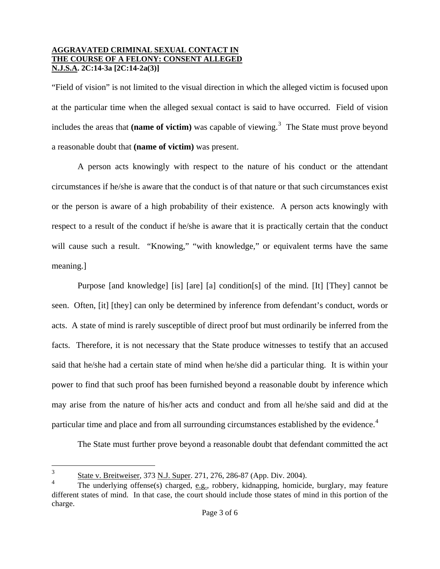"Field of vision" is not limited to the visual direction in which the alleged victim is focused upon at the particular time when the alleged sexual contact is said to have occurred. Field of vision includes the areas that (name of victim) was capable of viewing.<sup>[3](#page-1-0)</sup> The State must prove beyond a reasonable doubt that **(name of victim)** was present.

A person acts knowingly with respect to the nature of his conduct or the attendant circumstances if he/she is aware that the conduct is of that nature or that such circumstances exist or the person is aware of a high probability of their existence. A person acts knowingly with respect to a result of the conduct if he/she is aware that it is practically certain that the conduct will cause such a result. "Knowing," "with knowledge," or equivalent terms have the same meaning.]

Purpose [and knowledge] [is] [are] [a] condition[s] of the mind. [It] [They] cannot be seen. Often, [it] [they] can only be determined by inference from defendant's conduct, words or acts. A state of mind is rarely susceptible of direct proof but must ordinarily be inferred from the facts. Therefore, it is not necessary that the State produce witnesses to testify that an accused said that he/she had a certain state of mind when he/she did a particular thing. It is within your power to find that such proof has been furnished beyond a reasonable doubt by inference which may arise from the nature of his/her acts and conduct and from all he/she said and did at the particular time and place and from all surrounding circumstances established by the evidence.<sup>[4](#page-2-0)</sup>

The State must further prove beyond a reasonable doubt that defendant committed the act

 $\overline{3}$ <sup>3</sup> State v. Breitweiser, 373 N.J. Super. 271, 276, 286-87 (App. Div. 2004).

<span id="page-2-1"></span><span id="page-2-0"></span><sup>4</sup> The underlying offense(s) charged, e.g., robbery, kidnapping, homicide, burglary, may feature different states of mind. In that case, the court should include those states of mind in this portion of the charge.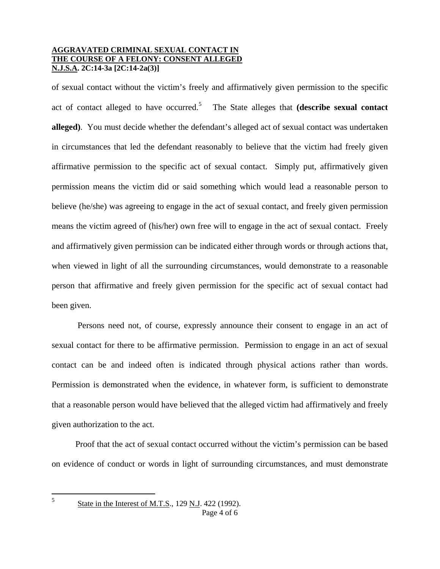of sexual contact without the victim's freely and affirmatively given permission to the specific act of contact alleged to have occurred.[5](#page-2-1) The State alleges that **(describe sexual contact alleged)**. You must decide whether the defendant's alleged act of sexual contact was undertaken in circumstances that led the defendant reasonably to believe that the victim had freely given affirmative permission to the specific act of sexual contact. Simply put, affirmatively given permission means the victim did or said something which would lead a reasonable person to believe (he/she) was agreeing to engage in the act of sexual contact, and freely given permission means the victim agreed of (his/her) own free will to engage in the act of sexual contact. Freely and affirmatively given permission can be indicated either through words or through actions that, when viewed in light of all the surrounding circumstances, would demonstrate to a reasonable person that affirmative and freely given permission for the specific act of sexual contact had been given.

Persons need not, of course, expressly announce their consent to engage in an act of sexual contact for there to be affirmative permission. Permission to engage in an act of sexual contact can be and indeed often is indicated through physical actions rather than words. Permission is demonstrated when the evidence, in whatever form, is sufficient to demonstrate that a reasonable person would have believed that the alleged victim had affirmatively and freely given authorization to the act.

 Proof that the act of sexual contact occurred without the victim's permission can be based on evidence of conduct or words in light of surrounding circumstances, and must demonstrate

<span id="page-3-0"></span>5

Page 4 of 6 5 State in the Interest of M.T.S., 129 N.J. 422 (1992).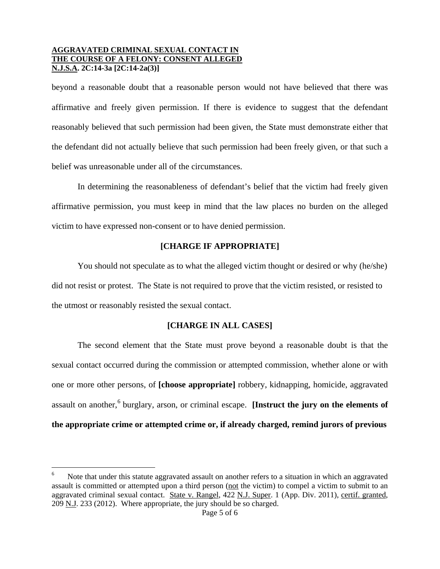beyond a reasonable doubt that a reasonable person would not have believed that there was affirmative and freely given permission. If there is evidence to suggest that the defendant reasonably believed that such permission had been given, the State must demonstrate either that the defendant did not actually believe that such permission had been freely given, or that such a belief was unreasonable under all of the circumstances.

In determining the reasonableness of defendant's belief that the victim had freely given affirmative permission, you must keep in mind that the law places no burden on the alleged victim to have expressed non-consent or to have denied permission.

## **[CHARGE IF APPROPRIATE]**

You should not speculate as to what the alleged victim thought or desired or why (he/she) did not resist or protest. The State is not required to prove that the victim resisted, or resisted to the utmost or reasonably resisted the sexual contact.

## **[CHARGE IN ALL CASES]**

The second element that the State must prove beyond a reasonable doubt is that the sexual contact occurred during the commission or attempted commission, whether alone or with one or more other persons, of **[choose appropriate]** robbery, kidnapping, homicide, aggravated assault on another,<sup>[6](#page-3-0)</sup> burglary, arson, or criminal escape. **[Instruct the jury on the elements of the appropriate crime or attempted crime or, if already charged, remind jurors of previous** 

<span id="page-4-0"></span>i

<sup>6</sup> Note that under this statute aggravated assault on another refers to a situation in which an aggravated assault is committed or attempted upon a third person (not the victim) to compel a victim to submit to an aggravated criminal sexual contact. State v. Rangel, 422 N.J. Super. 1 (App. Div. 2011), certif. granted, 209 N.J. 233 (2012). Where appropriate, the jury should be so charged.